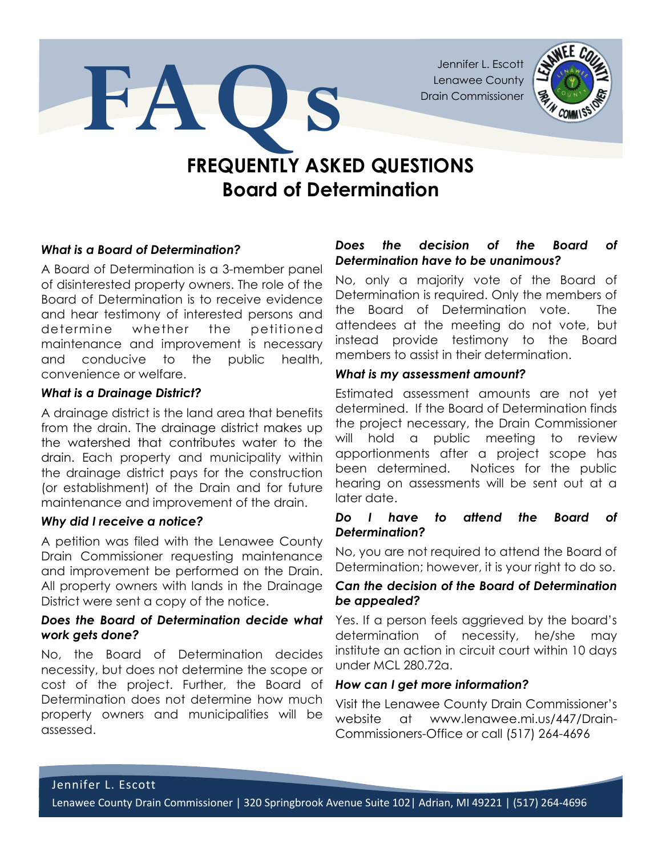Jennifer L. Escott Lenawee County Drain Commissioner



# FREQUENTLY ASKED QUESTIONS Board of Determination

# What is a Board of Determination?

A Board of Determination is a 3-member panel of disinterested property owners. The role of the Board of Determination is to receive evidence and hear testimony of interested persons and determine whether the petitioned maintenance and improvement is necessary and conducive to the public health, convenience or welfare.

FAO'S

### What is a Drainage District?

A drainage district is the land area that benefits from the drain. The drainage district makes up the watershed that contributes water to the drain. Each property and municipality within the drainage district pays for the construction (or establishment) of the Drain and for future maintenance and improvement of the drain.

### Why did I receive a notice?

A petition was filed with the Lenawee County Drain Commissioner requesting maintenance and improvement be performed on the Drain. All property owners with lands in the Drainage District were sent a copy of the notice.

# Does the Board of Determination decide what work gets done?

No, the Board of Determination decides necessity, but does not determine the scope or cost of the project. Further, the Board of Determination does not determine how much property owners and municipalities will be assessed.

# Does the decision of the Board of Determination have to be unanimous?

No, only a majority vote of the Board of Determination is required. Only the members of the Board of Determination vote. The attendees at the meeting do not vote, but instead provide testimony to the Board members to assist in their determination.

# What is my assessment amount?

Estimated assessment amounts are not yet determined. If the Board of Determination finds the project necessary, the Drain Commissioner will hold a public meeting to review apportionments after a project scope has been determined. Notices for the public hearing on assessments will be sent out at a later date.

# Do I have to attend the Board of Determination?

No, you are not required to attend the Board of Determination; however, it is your right to do so.

# Can the decision of the Board of Determination be appealed?

Yes. If a person feels aggrieved by the board's determination of necessity, he/she may institute an action in circuit court within 10 days under MCL 280.72a.

### How can I get more information?

Visit the Lenawee County Drain Commissioner's website at www.lenawee.mi.us/447/Drain-Commissioners-Office or call (517) 264-4696